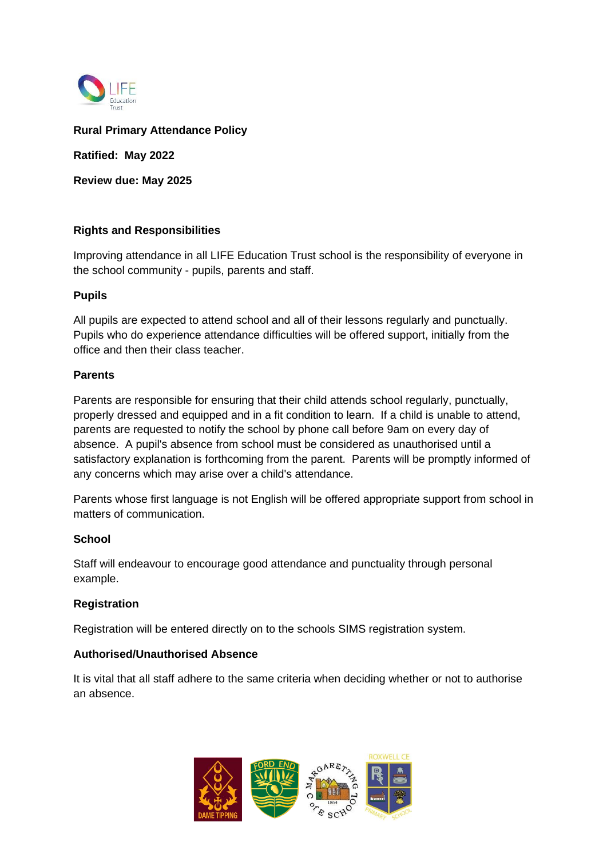

## **Rural Primary Attendance Policy**

**Ratified: May 2022**

**Review due: May 2025**

### **Rights and Responsibilities**

Improving attendance in all LIFE Education Trust school is the responsibility of everyone in the school community - pupils, parents and staff.

### **Pupils**

All pupils are expected to attend school and all of their lessons regularly and punctually. Pupils who do experience attendance difficulties will be offered support, initially from the office and then their class teacher.

### **Parents**

Parents are responsible for ensuring that their child attends school regularly, punctually, properly dressed and equipped and in a fit condition to learn. If a child is unable to attend, parents are requested to notify the school by phone call before 9am on every day of absence. A pupil's absence from school must be considered as unauthorised until a satisfactory explanation is forthcoming from the parent. Parents will be promptly informed of any concerns which may arise over a child's attendance.

Parents whose first language is not English will be offered appropriate support from school in matters of communication.

### **School**

Staff will endeavour to encourage good attendance and punctuality through personal example.

### **Registration**

Registration will be entered directly on to the schools SIMS registration system.

## **Authorised/Unauthorised Absence**

It is vital that all staff adhere to the same criteria when deciding whether or not to authorise an absence.

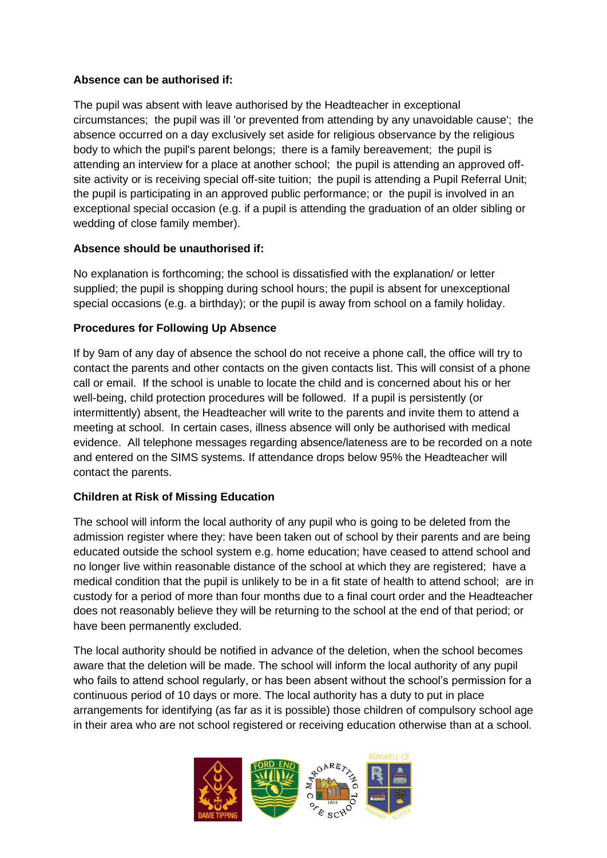# **Absence can be authorised if:**

The pupil was absent with leave authorised by the Headteacher in exceptional circumstances; the pupil was ill 'or prevented from attending by any unavoidable cause'; the absence occurred on a day exclusively set aside for religious observance by the religious body to which the pupil's parent belongs; there is a family bereavement; the pupil is attending an interview for a place at another school; the pupil is attending an approved offsite activity or is receiving special off-site tuition; the pupil is attending a Pupil Referral Unit; the pupil is participating in an approved public performance; or the pupil is involved in an exceptional special occasion (e.g. if a pupil is attending the graduation of an older sibling or wedding of close family member).

# **Absence should be unauthorised if:**

No explanation is forthcoming; the school is dissatisfied with the explanation/ or letter supplied; the pupil is shopping during school hours; the pupil is absent for unexceptional special occasions (e.g. a birthday); or the pupil is away from school on a family holiday.

# **Procedures for Following Up Absence**

If by 9am of any day of absence the school do not receive a phone call, the office will try to contact the parents and other contacts on the given contacts list. This will consist of a phone call or email. If the school is unable to locate the child and is concerned about his or her well-being, child protection procedures will be followed. If a pupil is persistently (or intermittently) absent, the Headteacher will write to the parents and invite them to attend a meeting at school. In certain cases, illness absence will only be authorised with medical evidence. All telephone messages regarding absence/lateness are to be recorded on a note and entered on the SIMS systems. If attendance drops below 95% the Headteacher will contact the parents.

# **Children at Risk of Missing Education**

The school will inform the local authority of any pupil who is going to be deleted from the admission register where they: have been taken out of school by their parents and are being educated outside the school system e.g. home education; have ceased to attend school and no longer live within reasonable distance of the school at which they are registered; have a medical condition that the pupil is unlikely to be in a fit state of health to attend school; are in custody for a period of more than four months due to a final court order and the Headteacher does not reasonably believe they will be returning to the school at the end of that period; or have been permanently excluded.

The local authority should be notified in advance of the deletion, when the school becomes aware that the deletion will be made. The school will inform the local authority of any pupil who fails to attend school regularly, or has been absent without the school's permission for a continuous period of 10 days or more. The local authority has a duty to put in place arrangements for identifying (as far as it is possible) those children of compulsory school age in their area who are not school registered or receiving education otherwise than at a school.